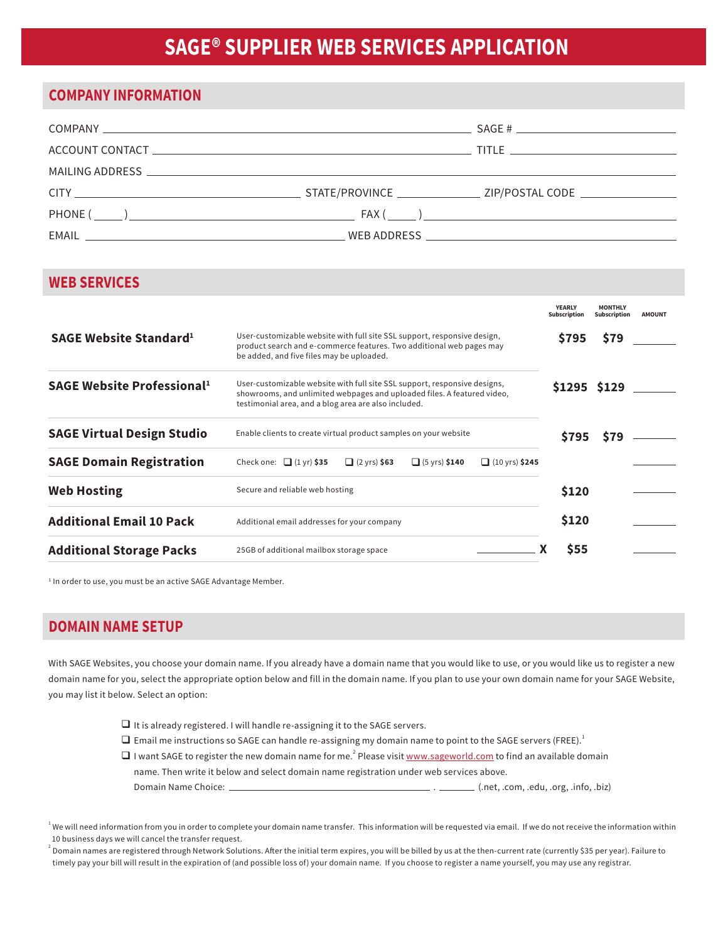# **SAGE® SUPPLIER WEB SERVICES APPLICATION**

#### **COMPANY INFORMATION**

| MAILING ADDRESS AND THE RESERVE THE RESERVE THAT THE RESERVE THAT THE RESERVE THAT THE RESERVE THAT THE RESERVE THAT THE RESERVE THAT THE RESERVE THAT THE RESERVE THAT THE RESERVE THAT THE RESERVE THAT THE RESERVE THAT THE     |  |
|------------------------------------------------------------------------------------------------------------------------------------------------------------------------------------------------------------------------------------|--|
|                                                                                                                                                                                                                                    |  |
| $PHONE(\_\_)$                                                                                                                                                                                                                      |  |
| EMAIL <b>EXAMPLE 2008 EXAMPLE 2009 THE SERVICE SERVICE SERVICE SERVICE SERVICE SERVICE SERVICE SERVICE SERVICE SERVICE SERVICE SERVICE SERVICE SERVICE SERVICE SERVICE SERVICE SERVICE SERVICE SERVICE SERVICE SERVICE SERVICE</b> |  |

### **WEB SERVICES**

|                                               |                                                                                                                                                                                                              | <b>YEARLY</b><br><b>Subscription</b> | <b>MONTHLY</b><br><b>Subscription</b> | <b>AMOUNT</b> |
|-----------------------------------------------|--------------------------------------------------------------------------------------------------------------------------------------------------------------------------------------------------------------|--------------------------------------|---------------------------------------|---------------|
| SAGE Website Standard <sup>1</sup>            | User-customizable website with full site SSL support, responsive design,<br>product search and e-commerce features. Two additional web pages may<br>be added, and five files may be uploaded.                | <b>S795</b>                          | \$79                                  |               |
| <b>SAGE Website Professional</b> <sup>1</sup> | User-customizable website with full site SSL support, responsive designs,<br>showrooms, and unlimited webpages and uploaded files. A featured video,<br>testimonial area, and a blog area are also included. | S1295 S129                           |                                       |               |
| <b>SAGE Virtual Design Studio</b>             | Enable clients to create virtual product samples on your website                                                                                                                                             | <b>S795</b>                          | <b>S79</b>                            |               |
| <b>SAGE Domain Registration</b>               | Check one: $\Box$ (1 yr) \$35<br>$\Box$ (10 yrs) \$245<br>$\Box$ (2 yrs) \$63<br>$\Box$ (5 yrs) \$140                                                                                                        |                                      |                                       |               |
| <b>Web Hosting</b>                            | Secure and reliable web hosting                                                                                                                                                                              | \$120                                |                                       |               |
| <b>Additional Email 10 Pack</b>               | Additional email addresses for your company                                                                                                                                                                  | \$120                                |                                       |               |
| <b>Additional Storage Packs</b>               | 25GB of additional mailbox storage space                                                                                                                                                                     | <b>S55</b>                           |                                       |               |

<sup>1</sup> In order to use, you must be an active SAGE Advantage Member.

#### **DOMAIN NAME SETUP**

With SAGE Websites, you choose your domain name. If you already have a domain name that you would like to use, or you would like us to register a new domain name for you, select the appropriate option below and fill in the domain name. If you plan to use your own domain name for your SAGE Website, you may list it below. Select an option:

- $\Box$  It is already registered. I will handle re-assigning it to the SAGE servers.
- $\Box$  Email me instructions so SAGE can handle re-assigning my domain name to point to the SAGE servers (FREE).<sup>1</sup>
- $\Box$  I want SAGE to register the new domain name for me.<sup>2</sup> Please visit <u>www.sageworld.com</u> to find an available domain name. Then write it below and select domain name registration under web services above. Domain Name Choice: . (.net, .com, .edu, .org, .info, .biz)

 $^{\rm l}$  We will need information from you in order to complete your domain name transfer. This information will be requested via email. If we do not receive the information within 10 business days we will cancel the transfer request.

<sup>2</sup> Domain names are registered through Network Solutions. After the initial term expires, you will be billed by us at the then-current rate (currently \$35 per year). Failure to timely pay your bill will result in the expiration of (and possible loss of) your domain name. If you choose to register a name yourself, you may use any registrar.